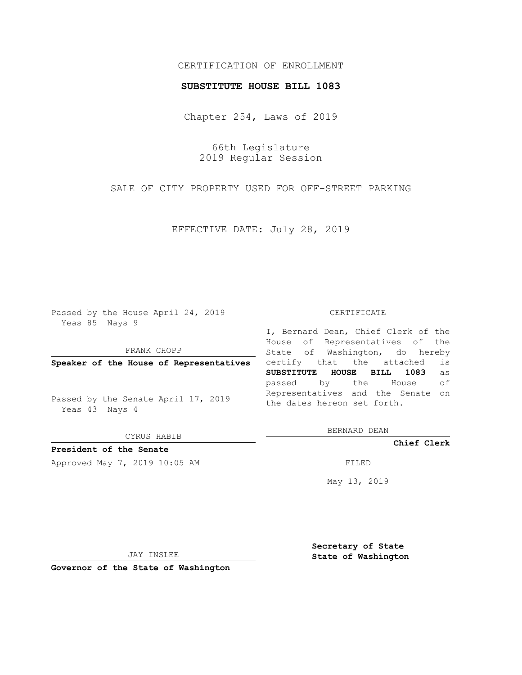## CERTIFICATION OF ENROLLMENT

### **SUBSTITUTE HOUSE BILL 1083**

Chapter 254, Laws of 2019

66th Legislature 2019 Regular Session

SALE OF CITY PROPERTY USED FOR OFF-STREET PARKING

EFFECTIVE DATE: July 28, 2019

Passed by the House April 24, 2019 Yeas 85 Nays 9

FRANK CHOPP

**Speaker of the House of Representatives**

Passed by the Senate April 17, 2019 Yeas 43 Nays 4

CYRUS HABIB

# **President of the Senate**

Approved May 7, 2019 10:05 AM FILED

#### CERTIFICATE

I, Bernard Dean, Chief Clerk of the House of Representatives of the State of Washington, do hereby certify that the attached is **SUBSTITUTE HOUSE BILL 1083** as passed by the House of Representatives and the Senate on the dates hereon set forth.

BERNARD DEAN

**Chief Clerk**

May 13, 2019

JAY INSLEE

**Governor of the State of Washington**

**Secretary of State State of Washington**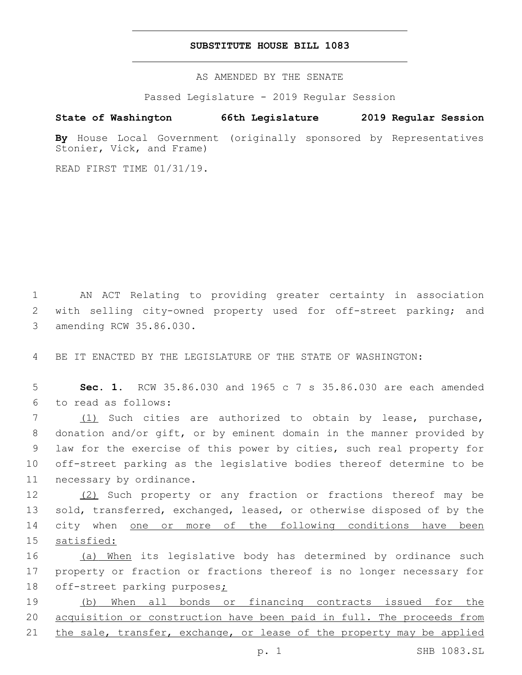## **SUBSTITUTE HOUSE BILL 1083**

AS AMENDED BY THE SENATE

Passed Legislature - 2019 Regular Session

# **State of Washington 66th Legislature 2019 Regular Session**

**By** House Local Government (originally sponsored by Representatives Stonier, Vick, and Frame)

READ FIRST TIME 01/31/19.

1 AN ACT Relating to providing greater certainty in association 2 with selling city-owned property used for off-street parking; and 3 amending RCW 35.86.030.

4 BE IT ENACTED BY THE LEGISLATURE OF THE STATE OF WASHINGTON:

5 **Sec. 1.** RCW 35.86.030 and 1965 c 7 s 35.86.030 are each amended to read as follows:6

7 (1) Such cities are authorized to obtain by lease, purchase, 8 donation and/or gift, or by eminent domain in the manner provided by 9 law for the exercise of this power by cities, such real property for 10 off-street parking as the legislative bodies thereof determine to be 11 necessary by ordinance.

12 (2) Such property or any fraction or fractions thereof may be sold, transferred, exchanged, leased, or otherwise disposed of by the city when one or more of the following conditions have been satisfied:

16 (a) When its legislative body has determined by ordinance such 17 property or fraction or fractions thereof is no longer necessary for 18 off-street parking purposes;

19 (b) When all bonds or financing contracts issued for the 20 acquisition or construction have been paid in full. The proceeds from 21 the sale, transfer, exchange, or lease of the property may be applied